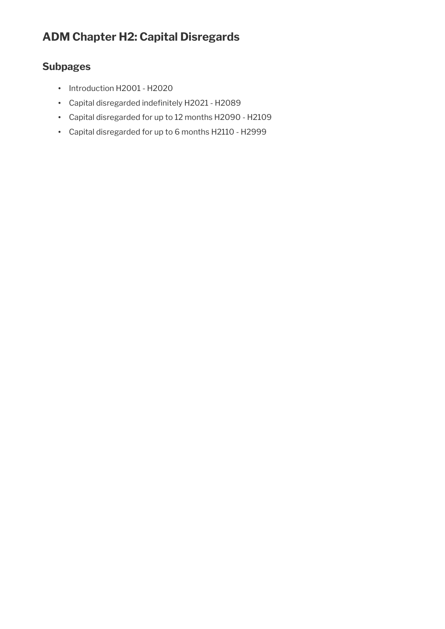# **ADM Chapter H2: Capital Disregards**

# **Subpages**

- Introduction H2001 H2020
- Capital disregarded indefinitely H2021 H2089
- Capital disregarded for up to 12 months H2090 H2109
- Capital disregarded for up to 6 months H2110 H2999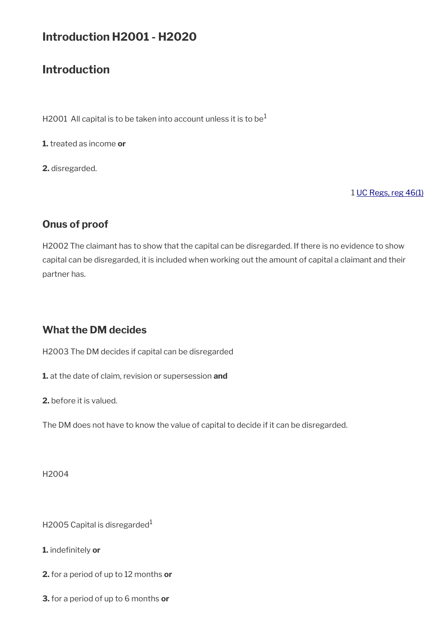# **Introduction H2001 - H2020**

# **Introduction**

H2001 All capital is to be taken into account unless it is to be<sup>1</sup>

**1.** treated as income **or**

**2.** disregarded.

1 [UC Regs, reg 46\(1\)](http://www.legislation.gov.uk/uksi/2013/376/regulation/46)

# **Onus of proof**

H2002 The claimant has to show that the capital can be disregarded. If there is no evidence to show capital can be disregarded, it is included when working out the amount of capital a claimant and their partner has.

# **What the DM decides**

H2003 The DM decides if capital can be disregarded

**1.** at the date of claim, revision or supersession **and** 

**2.** before it is valued.

The DM does not have to know the value of capital to decide if it can be disregarded.

H2004

H2005 Capital is disregarded $1$ 

- **1.** indefinitely **or**
- **2.** for a period of up to 12 months **or**
- **3.** for a period of up to 6 months **or**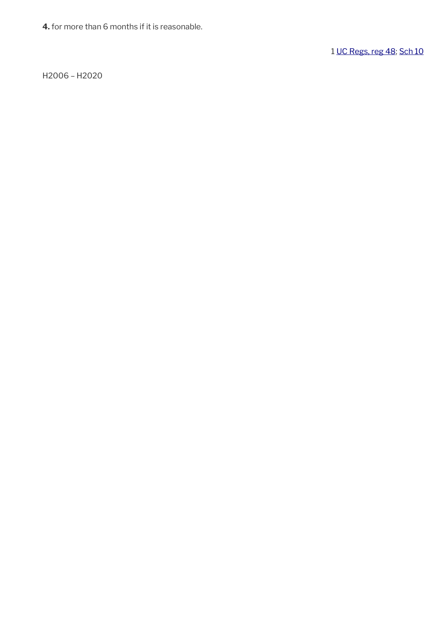**4.** for more than 6 months if it is reasonable.

1 [UC Regs, reg 48](http://www.legislation.gov.uk/uksi/2013/376/regulation/48); [Sch 10](http://www.legislation.gov.uk/uksi/2013/376/schedule/10)

H2006 – H2020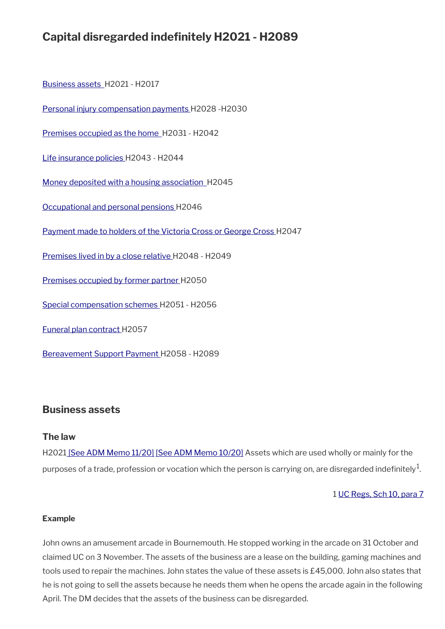# **Capital disregarded indefinitely H2021 - H2089**

 [Business assets](#page-3-0) H2021 - H2017

[Personal injury compensation payments](#page-5-0) H2028 -H2030

 [Premises occupied as the home](#page-6-0) H2031 - H2042

[Life insurance policies H](#page-9-2)2043 - H2044

 [Money deposited with a housing association](#page-9-1) H2045

[Occupational and personal pensions](#page-9-0) H2046

[Payment made to holders of the Victoria Cross or George Cross](#page-10-1) H2047

[Premises lived in by a close relative](#page-10-0) H2048 - H2049

[Premises occupied by former partner](#page-11-1) H2050

[Special compensation schemes H](#page-11-0)2051 - H2056

[Funeral plan contract H](#page-12-1)2057

[Bereavement Support Payment H](#page-12-0)2058 - H2089

# <span id="page-3-0"></span>**Business assets**

### **The law**

H202[1 \[See ADM Memo 11/20\]](http://intranet.dwp.gov.uk/manual/advice-decision-making-adm/1120-hmrc-and-devolved-administration-coronavirus-schemes-and-uc) [\[See ADM Memo 10/20\]](http://intranet.dwp.gov.uk/manual/advice-decision-making-adm/1020-universal-credit-coronavirus-self-employed-claimants-and-reclaims-amendment-regulations-2020) Assets which are used wholly or mainly for the purposes of a trade, profession or vocation which the person is carrying on, are disregarded indefinitely $^1$ .

### 1 [UC Regs, Sch 10, para 7](http://www.legislation.gov.uk/uksi/2013/376/schedule/10)

#### **Example**

John owns an amusement arcade in Bournemouth. He stopped working in the arcade on 31 October and claimed UC on 3 November. The assets of the business are a lease on the building, gaming machines and tools used to repair the machines. John states the value of these assets is £45,000. John also states that he is not going to sell the assets because he needs them when he opens the arcade again in the following April. The DM decides that the assets of the business can be disregarded.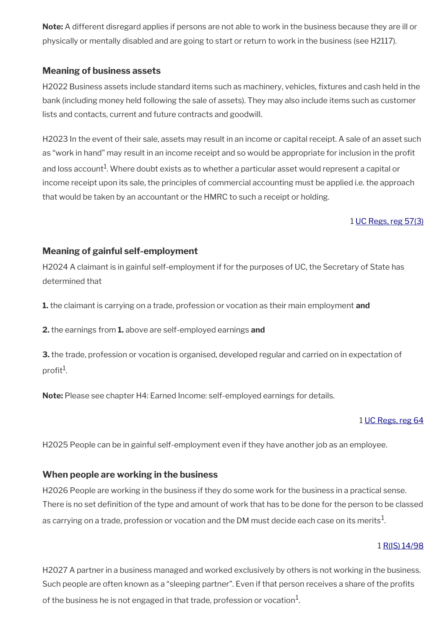**Note:** A different disregard applies if persons are not able to work in the business because they are ill or physically or mentally disabled and are going to start or return to work in the business (see H2117).

# **Meaning of business assets**

H2022 Business assets include standard items such as machinery, vehicles, fixtures and cash held in the bank (including money held following the sale of assets). They may also include items such as customer lists and contacts, current and future contracts and goodwill.

H2023 In the event of their sale, assets may result in an income or capital receipt. A sale of an asset such as "work in hand" may result in an income receipt and so would be appropriate for inclusion in the profit and loss account $^{\rm 1}$ . Where doubt exists as to whether a particular asset would represent a capital or income receipt upon its sale, the principles of commercial accounting must be applied i.e. the approach that would be taken by an accountant or the HMRC to such a receipt or holding.

1 [UC Regs, reg 57\(3\)](http://www.legislation.gov.uk/uksi/2013/376/regulation/57)

# **Meaning of gainful self-employment**

H2024 A claimant is in gainful self-employment if for the purposes of UC, the Secretary of State has determined that

**1.** the claimant is carrying on a trade, profession or vocation as their main employment **and** 

**2.** the earnings from **1.** above are self-employed earnings **and**

**3.** the trade, profession or vocation is organised, developed regular and carried on in expectation of profit $^1$ .

**Note:** Please see chapter H4: Earned Income: self-employed earnings for details.

#### 1 [UC Regs, reg 64](http://www.legislation.gov.uk/uksi/2013/376/regulation/64)

H2025 People can be in gainful self-employment even if they have another job as an employee.

# **When people are working in the business**

H2026 People are working in the business if they do some work for the business in a practical sense. There is no set definition of the type and amount of work that has to be done for the person to be classed as carrying on a trade, profession or vocation and the DM must decide each case on its merits $^{\rm 1}$ .

### 1 [R\(IS\) 14/98](http://intranet.dwp.gov.uk/manual/decision-benefit/ris-14-98)

H2027 A partner in a business managed and worked exclusively by others is not working in the business. Such people are often known as a "sleeping partner". Even if that person receives a share of the profits of the business he is not engaged in that trade, profession or vocation $^1\!$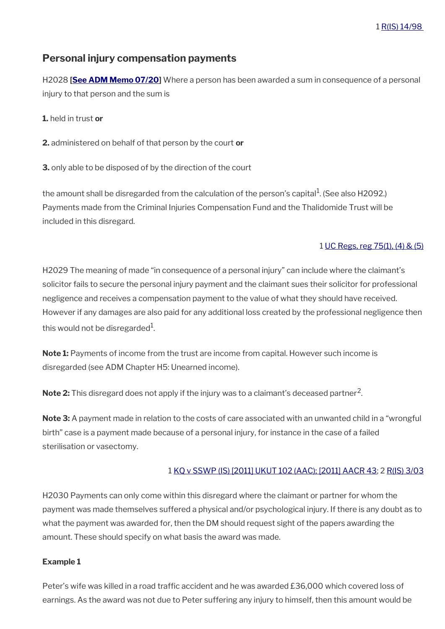# <span id="page-5-0"></span>**Personal injury compensation payments**

H2028 **[[See ADM Memo 07/20\]](http://intranet.dwp.gov.uk/manual/advice-decision-making-adm/0720-troubles-permanent-disablement-payment-scheme)** Where a person has been awarded a sum in consequence of a personal injury to that person and the sum is

**1.** held in trust **or**

**2.** administered on behalf of that person by the court **or**

**3.** only able to be disposed of by the direction of the court

the amount shall be disregarded from the calculation of the person's capital $^1$ . (See also H2092.) Payments made from the Criminal Injuries Compensation Fund and the Thalidomide Trust will be included in this disregard.

### 1 [UC Regs, reg 75\(1\), \(4\) & \(5\)](http://www.legislation.gov.uk/uksi/2013/376/regulation/75)

H2029 The meaning of made "in consequence of a personal injury" can include where the claimant's solicitor fails to secure the personal injury payment and the claimant sues their solicitor for professional negligence and receives a compensation payment to the value of what they should have received. However if any damages are also paid for any additional loss created by the professional negligence then this would not be disregarded $^{\rm 1}$ .

**Note 1:** Payments of income from the trust are income from capital. However such income is disregarded (see ADM Chapter H5: Unearned income).

**Note 2:** This disregard does not apply if the injury was to a claimant's deceased partner<sup>2</sup>.

**Note 3:** A payment made in relation to the costs of care associated with an unwanted child in a "wrongful birth" case is a payment made because of a personal injury, for instance in the case of a failed sterilisation or vasectomy.

### 1 [KQ v SSWP \(IS\) \[2011\] UKUT 102 \(AAC\); \[2011\] AACR 43](http://administrativeappeals.decisions.tribunals.gov.uk/Aspx/view.aspx?id=3225); 2 [R\(IS\) 3/03](http://intranet.dwp.gov.uk/manual/decision-benefit/ris-3-03)

H2030 Payments can only come within this disregard where the claimant or partner for whom the payment was made themselves suffered a physical and/or psychological injury. If there is any doubt as to what the payment was awarded for, then the DM should request sight of the papers awarding the amount. These should specify on what basis the award was made.

### **Example 1**

Peter's wife was killed in a road traffic accident and he was awarded £36,000 which covered loss of earnings. As the award was not due to Peter suffering any injury to himself, then this amount would be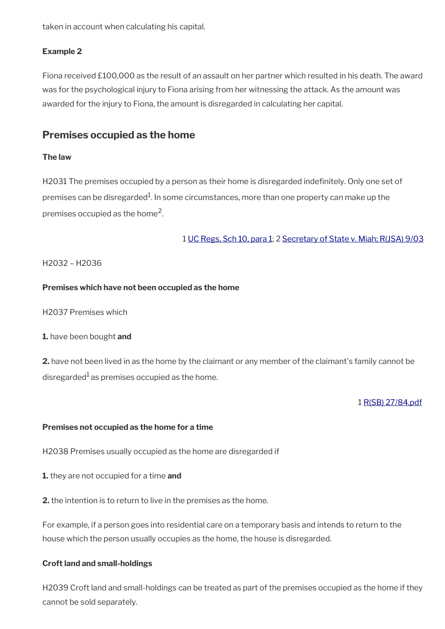taken in account when calculating his capital.

## **Example 2**

Fiona received £100,000 as the result of an assault on her partner which resulted in his death. The award was for the psychological injury to Fiona arising from her witnessing the attack. As the amount was awarded for the injury to Fiona, the amount is disregarded in calculating her capital.

# <span id="page-6-0"></span>**Premises occupied as the home**

#### **The law**

H2031 The premises occupied by a person as their home is disregarded indefinitely. Only one set of premises can be disregarded $^1$ . In some circumstances, more than one property can make up the premises occupied as the home<sup>2</sup>.

1 [UC Regs, Sch 10, para 1](http://www.legislation.gov.uk/uksi/2013/376/schedule/10); 2 [Secretary of State v. Miah; R\(JSA\) 9/03](http://intranet.dwp.gov.uk/manual/decision-benefit/rjsa-9-03)

### H2032 – H2036

### **Premises which have not been occupied as the home**

H2037 Premises which

### **1.** have been bought **and**

**2.** have not been lived in as the home by the claimant or any member of the claimant's family cannot be disregarded<sup>1</sup> as premises occupied as the home.

#### 1 [R\(SB\) 27/84.pdf](../file/889092/download/R%2528SB%2529%252027%252F84.pdf)

#### **Premises not occupied as the home for a time**

H2038 Premises usually occupied as the home are disregarded if

- **1.** they are not occupied for a time **and**
- **2.** the intention is to return to live in the premises as the home.

For example, if a person goes into residential care on a temporary basis and intends to return to the house which the person usually occupies as the home, the house is disregarded.

#### **Croft land and small-holdings**

H2039 Croft land and small-holdings can be treated as part of the premises occupied as the home if they cannot be sold separately.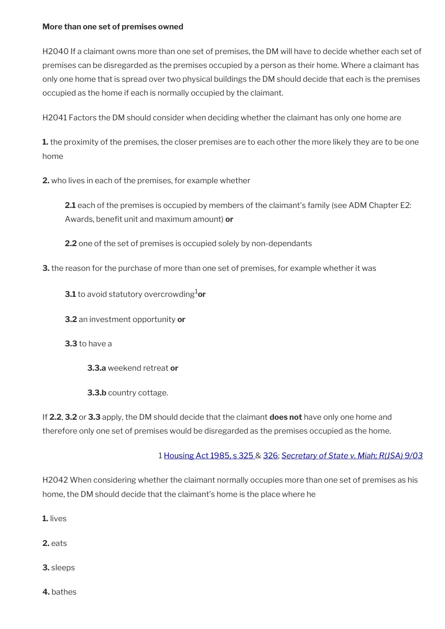#### **More than one set of premises owned**

H2040 If a claimant owns more than one set of premises, the DM will have to decide whether each set of premises can be disregarded as the premises occupied by a person as their home. Where a claimant has only one home that is spread over two physical buildings the DM should decide that each is the premises occupied as the home if each is normally occupied by the claimant.

H2041 Factors the DM should consider when deciding whether the claimant has only one home are

**1.** the proximity of the premises, the closer premises are to each other the more likely they are to be one home

**2.** who lives in each of the premises, for example whether

**2.1** each of the premises is occupied by members of the claimant's family (see ADM Chapter E2: Awards, benefit unit and maximum amount) **or**

**2.2** one of the set of premises is occupied solely by non-dependants

**3.** the reason for the purchase of more than one set of premises, for example whether it was

**3.1** to avoid statutory overcrowding<sup>1</sup>or

**3.2** an investment opportunity **or**

**3.3** to have a

**3.3.a** weekend retreat **or**

**3.3.b** country cottage.

If **2.2**, **3.2** or **3.3** apply, the DM should decide that the claimant **does not** have only one home and therefore only one set of premises would be disregarded as the premises occupied as the home.

# 1 [Housing Act 1985, s 325 &](http://www.legislation.gov.uk/ukpga/1985/68/section/325) [326](http://www.legislation.gov.uk/ukpga/1985/68/section/326); *[Secretary of State v. Miah; R\(JSA\) 9/03](http://intranet.dwp.gov.uk/manual/decision-benefit/rjsa-9-03)*

H2042 When considering whether the claimant normally occupies more than one set of premises as his home, the DM should decide that the claimant's home is the place where he

**1.** lives

**2.** eats

**3.** sleeps

**4.** bathes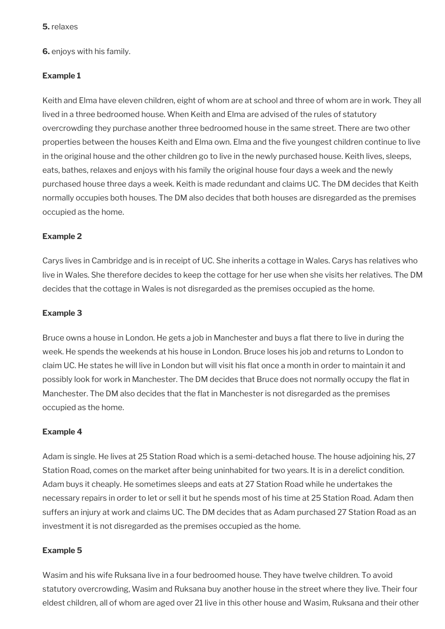**6.** enjoys with his family.

## **Example 1**

Keith and Elma have eleven children, eight of whom are at school and three of whom are in work. They all lived in a three bedroomed house. When Keith and Elma are advised of the rules of statutory overcrowding they purchase another three bedroomed house in the same street. There are two other properties between the houses Keith and Elma own. Elma and the five youngest children continue to live in the original house and the other children go to live in the newly purchased house. Keith lives, sleeps, eats, bathes, relaxes and enjoys with his family the original house four days a week and the newly purchased house three days a week. Keith is made redundant and claims UC. The DM decides that Keith normally occupies both houses. The DM also decides that both houses are disregarded as the premises occupied as the home.

## **Example 2**

Carys lives in Cambridge and is in receipt of UC. She inherits a cottage in Wales. Carys has relatives who live in Wales. She therefore decides to keep the cottage for her use when she visits her relatives. The DM decides that the cottage in Wales is not disregarded as the premises occupied as the home.

### **Example 3**

Bruce owns a house in London. He gets a job in Manchester and buys a flat there to live in during the week. He spends the weekends at his house in London. Bruce loses his job and returns to London to claim UC. He states he will live in London but will visit his flat once a month in order to maintain it and possibly look for work in Manchester. The DM decides that Bruce does not normally occupy the flat in Manchester. The DM also decides that the flat in Manchester is not disregarded as the premises occupied as the home.

### **Example 4**

Adam is single. He lives at 25 Station Road which is a semi-detached house. The house adjoining his, 27 Station Road, comes on the market after being uninhabited for two years. It is in a derelict condition. Adam buys it cheaply. He sometimes sleeps and eats at 27 Station Road while he undertakes the necessary repairs in order to let or sell it but he spends most of his time at 25 Station Road. Adam then suffers an injury at work and claims UC. The DM decides that as Adam purchased 27 Station Road as an investment it is not disregarded as the premises occupied as the home.

### **Example 5**

Wasim and his wife Ruksana live in a four bedroomed house. They have twelve children. To avoid statutory overcrowding, Wasim and Ruksana buy another house in the street where they live. Their four eldest children, all of whom are aged over 21 live in this other house and Wasim, Ruksana and their other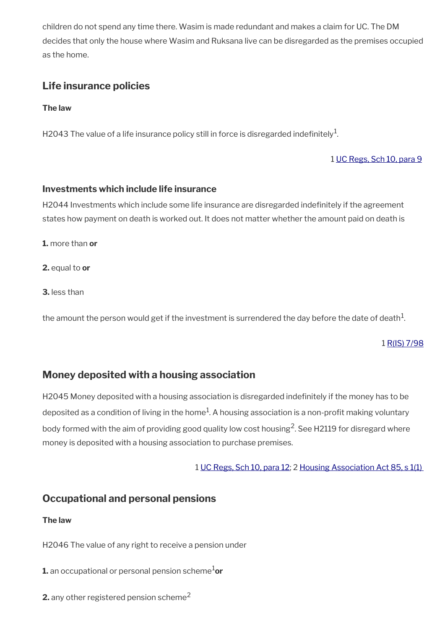children do not spend any time there. Wasim is made redundant and makes a claim for UC. The DM decides that only the house where Wasim and Ruksana live can be disregarded as the premises occupied as the home.

# <span id="page-9-2"></span>**Life insurance policies**

**The law**

H2043 The value of a life insurance policy still in force is disregarded indefinitely $^{\mathrm{1}}$ .

1 [UC Regs, Sch 10, para 9](http://www.legislation.gov.uk/uksi/2013/376/schedule/10)

### **Investments which include life insurance**

H2044 Investments which include some life insurance are disregarded indefinitely if the agreement states how payment on death is worked out. It does not matter whether the amount paid on death is

**1.** more than **or** 

**2.** equal to **or**

**3.** less than

the amount the person would get if the investment is surrendered the day before the date of death $^1\!$ 

1 [R\(IS\) 7/98](http://intranet.dwp.gov.uk/manual/decision-benefit/ris-7-98)

# <span id="page-9-1"></span>**Money deposited with a housing association**

H2045 Money deposited with a housing association is disregarded indefinitely if the money has to be deposited as a condition of living in the home $^1$ . A housing association is a non-profit making voluntary body formed with the aim of providing good quality low cost housing $^2$ . See H2119 for disregard where money is deposited with a housing association to purchase premises.

1 [UC Regs, Sch 10, para 12;](http://www.legislation.gov.uk/uksi/2013/376/schedule/10) 2 [Housing Association Act 85, s 1\(1\)](http://www.legislation.gov.uk/ukpga/1985/69/section/1) 

# <span id="page-9-0"></span>**Occupational and personal pensions**

### **The law**

H2046 The value of any right to receive a pension under

**1.** an occupational or personal pension scheme<sup>1</sup>or

**2.** any other registered pension scheme<sup>2</sup>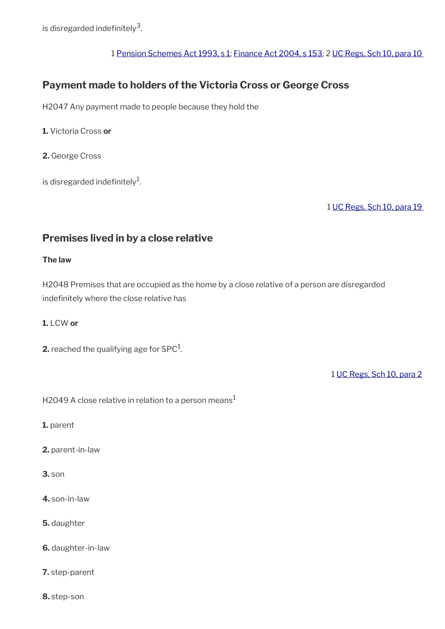is disregarded indefinitely $^3$ .

### 1 [Pension Schemes Act 1993, s 1](http://www.legislation.gov.uk/ukpga/1993/48/pdfs/ukpga_19930048_310320_en.pdf); [Finance Act 2004, s 153](http://www.legislation.gov.uk/ukpga/2004/12/section/153); 2 [UC Regs, Sch 10, para 10](http://www.legislation.gov.uk/uksi/2013/376/schedule/10)

# <span id="page-10-1"></span>**Payment made to holders of the Victoria Cross or George Cross**

H2047 Any payment made to people because they hold the

**1.** Victoria Cross **or** 

**2.** George Cross

is disregarded indefinitely $^{\rm 1}$ .

1 [UC Regs, Sch 10, para 19](http://www.legislation.gov.uk/uksi/2013/376/schedule/10) 

# <span id="page-10-0"></span>**Premises lived in by a close relative**

### **The law**

H2048 Premises that are occupied as the home by a close relative of a person are disregarded indefinitely where the close relative has

#### **1.** LCW **or**

**2.** reached the qualifying age for SPC $^1$ .

1 [UC Regs, Sch 10, para 2](http://www.legislation.gov.uk/uksi/2013/376/schedule/10)

H2049 A close relative in relation to a person means<sup>1</sup>

**1.** parent

- **2.** parent-in-law
- **3.** son
- **4.** son-in-law
- **5.** daughter
- **6.** daughter-in-law
- **7.** step-parent
- **8.** step-son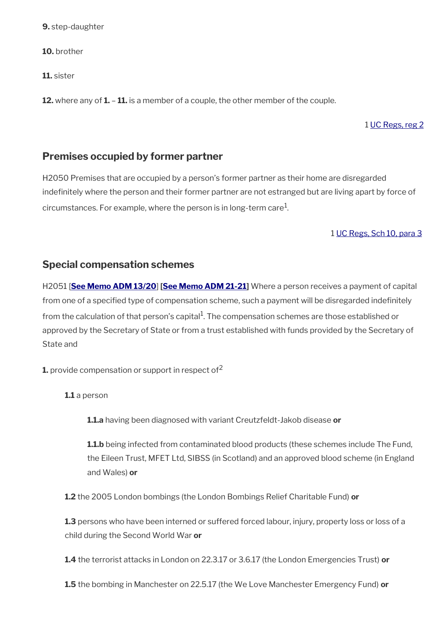**9.** step-daughter

**10.** brother

**11.** sister

**12.** where any of **1.** – **11.** is a member of a couple, the other member of the couple.

## 1 [UC Regs, reg 2](http://www.legislation.gov.uk/uksi/2013/376/regulation/2)

# <span id="page-11-1"></span>**Premises occupied by former partner**

H2050 Premises that are occupied by a person's former partner as their home are disregarded indefinitely where the person and their former partner are not estranged but are living apart by force of circumstances. For example, where the person is in long-term care $^1$ .

### 1 [UC Regs, Sch 10, para 3](http://www.legislation.gov.uk/uksi/2013/376/schedule/10)

# <span id="page-11-0"></span>**Special compensation schemes**

H2051 [ **[See Memo ADM 13/20](http://intranet.dwp.gov.uk/manual/advice-decision-making-adm/1320-social-security-income-and-capital-miscellaneous-amendments-regulations-2020)**] **[[See Memo ADM 21-21](https://intranet.dwp.gov.uk/manual/advice-decision-making-adm/21-21-disregard-historical-abuse-and-windrush-schemes)]** Where a person receives a payment of capital from one of a specified type of compensation scheme, such a payment will be disregarded indefinitely from the calculation of that person's capital $^1$ . The compensation schemes are those established or approved by the Secretary of State or from a trust established with funds provided by the Secretary of State and

**1.** provide compensation or support in respect of<sup>2</sup>

**1.1** a person

**1.1.a** having been diagnosed with variant Creutzfeldt-Jakob disease **or**

**1.1.b** being infected from contaminated blood products (these schemes include The Fund, the Eileen Trust, MFET Ltd, SIBSS (in Scotland) and an approved blood scheme (in England and Wales) **or**

**1.2** the 2005 London bombings (the London Bombings Relief Charitable Fund) **or**

**1.3** persons who have been interned or suffered forced labour, injury, property loss or loss of a child during the Second World War **or**

**1.4** the terrorist attacks in London on 22.3.17 or 3.6.17 (the London Emergencies Trust) **or**

**1.5** the bombing in Manchester on 22.5.17 (the We Love Manchester Emergency Fund) **or**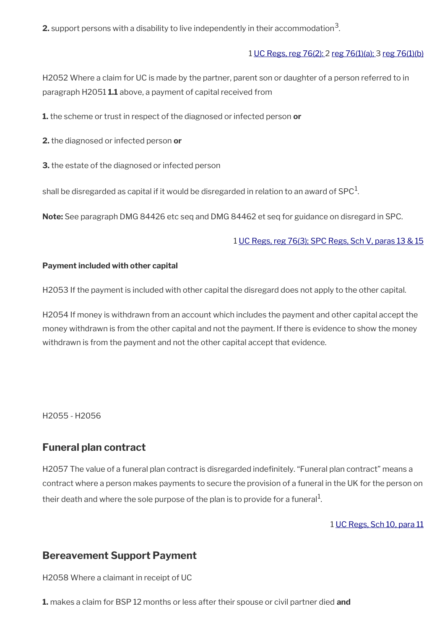**2.** support persons with a disability to live independently in their accommodation $^3$ .

#### 1 [UC Regs, reg 76\(2\):](http://www.legislation.gov.uk/uksi/2013/376/regulation/76) 2 [reg 76\(1\)\(a\);](http://www.legislation.gov.uk/uksi/2013/376/regulation/76) 3 [reg 76\(1\)\(b\)](http://www.legislation.gov.uk/uksi/2013/376/regulation/76)

H2052 Where a claim for UC is made by the partner, parent son or daughter of a person referred to in paragraph H2051 **1.1** above, a payment of capital received from

**1.** the scheme or trust in respect of the diagnosed or infected person **or**

**2.** the diagnosed or infected person **or**

**3.** the estate of the diagnosed or infected person

shall be disregarded as capital if it would be disregarded in relation to an award of SPC $^{\rm 1}$ .

**Note:** See paragraph DMG 84426 etc seq and DMG 84462 et seq for guidance on disregard in SPC.

#### 1 [UC Regs, reg 76\(3\);](http://www.legislation.gov.uk/uksi/2013/376/regulation/76) [SPC Regs, Sch V, paras 13 & 15](http://www.legislation.gov.uk/uksi/2002/1792/schedule/V)

#### **Payment included with other capital**

H2053 If the payment is included with other capital the disregard does not apply to the other capital.

H2054 If money is withdrawn from an account which includes the payment and other capital accept the money withdrawn is from the other capital and not the payment. If there is evidence to show the money withdrawn is from the payment and not the other capital accept that evidence.

H2055 - H2056

# <span id="page-12-1"></span>**Funeral plan contract**

H2057 The value of a funeral plan contract is disregarded indefinitely. "Funeral plan contract" means a contract where a person makes payments to secure the provision of a funeral in the UK for the person on their death and where the sole purpose of the plan is to provide for a funeral $^{\rm 1}$ .

1 [UC Regs, Sch 10, para 11](http://www.legislation.gov.uk/uksi/2013/376/schedule/10)

# <span id="page-12-0"></span>**Bereavement Support Payment**

H2058 Where a claimant in receipt of UC

**1.** makes a claim for BSP 12 months or less after their spouse or civil partner died **and**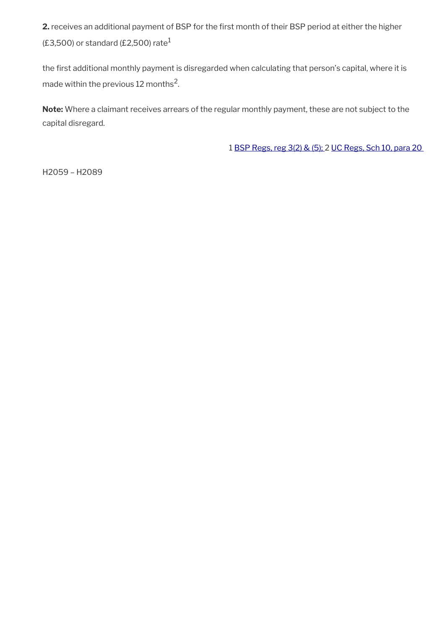**2.** receives an additional payment of BSP for the first month of their BSP period at either the higher  $(E3,500)$  or standard (£2,500) rate<sup>1</sup>

the first additional monthly payment is disregarded when calculating that person's capital, where it is made within the previous 12 months $^2\!$ .

**Note:** Where a claimant receives arrears of the regular monthly payment, these are not subject to the capital disregard.

1 [BSP Regs, reg 3\(2\) & \(5\); 2](http://www.legislation.gov.uk/uksi/2017/410/regulation/3) [UC Regs, Sch 10, para 20](http://www.legislation.gov.uk/uksi/2013/376/schedule/10) 

H2059 – H2089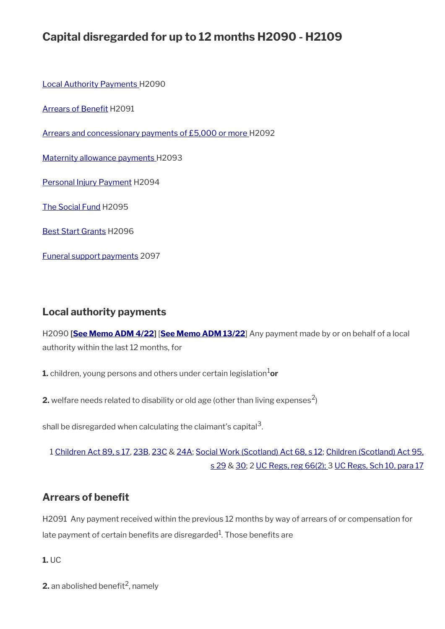# **Capital disregarded for up to 12 months H2090 - H2109**

[Local Authority Payments](#page-14-1) H2090

[Arrears of Benefit](#page-14-0) H2091

[Arrears and concessionary payments of £5,000 or more](#page-15-0) H2092

[Maternity allowance payments](#page-16-1) H2093

[Personal Injury Payment](#page-16-0) H2094

[The Social Fund](#page-17-2) H2095

[Best Start Grants](#page-17-1) H2096

[Funeral support payments](#page-17-0) 2097

# <span id="page-14-1"></span>**Local authority payments**

H2090 **[[See Memo ADM 4/22](https://intranet.dwp.gov.uk/manual/advice-decision-making-adm/04-22-energy-rebate-scheme-disregard)]** [**[See Memo ADM 13/22](https://intranet.dwp.gov.uk/manual/advice-decision-making-adm/13-22-uc-local-welfare-provision-disregard%C2%A0)**] Any payment made by or on behalf of a local authority within the last 12 months, for

**1.** children, young persons and others under certain legislation<sup>1</sup>or

**2.** welfare needs related to disability or old age (other than living expenses<sup>2</sup>)

shall be disregarded when calculating the claimant's capital $^{\mathsf{3}}$ .

1 [Children Act 89, s 17](http://www.legislation.gov.uk/ukpga/1989/41/section/17), [23B,](http://www.legislation.gov.uk/ukpga/1989/41/section/23B) [23C](http://www.legislation.gov.uk/ukpga/1989/41/section/23C) & [24A](http://www.legislation.gov.uk/ukpga/1989/41/section/24A); [Social Work \(Scotland\) Act 68, s 12;](http://www.legislation.gov.uk/ukpga/1968/49/section/12) [Children \(Scotland\) Act 95,](http://www.legislation.gov.uk/ukpga/1995/36/section/29) [s 29](http://www.legislation.gov.uk/ukpga/1995/36/section/29) & [30](http://www.legislation.gov.uk/ukpga/1995/36/section/30); 2 [UC Regs, reg 66\(2\); 3](http://www.legislation.gov.uk/uksi/2013/376/regulation/66) [UC Regs, Sch 10, para 17](http://www.legislation.gov.uk/uksi/2013/376/schedule/10)

# <span id="page-14-0"></span>**Arrears of benefit**

H2091 Any payment received within the previous 12 months by way of arrears of or compensation for late payment of certain benefits are disregarded $^{\rm 1}$ . Those benefits are

**1.** UC

**2.** an abolished benefit<sup>2</sup>, namely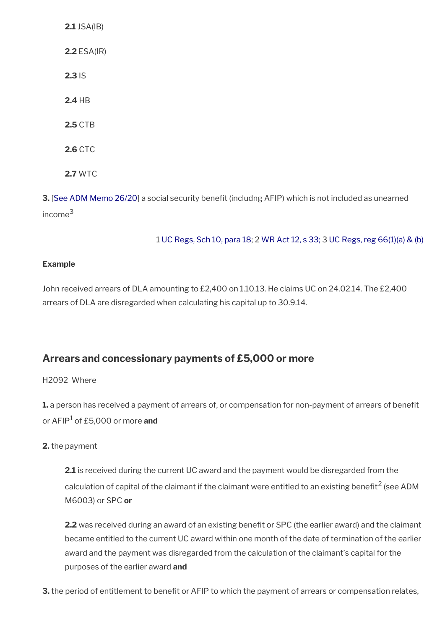**2.1** JSA(IB) **2.2** ESA(IR) **2.3** IS **2.4** HB **2.5** CTB **2.6** CTC **2.7** WTC

**3.** [[See ADM Memo 26/20](http://intranet.dwp.gov.uk/manual/advice-decision-making-adm/2620-scottish-child-payment)] a social security benefit (includng AFIP) which is not included as unearned income<sup>3</sup>

1 [UC Regs, Sch 10, para 18](http://www.legislation.gov.uk/uksi/2013/376/schedule/10); 2 [WR Act 12, s 33;](http://www.legislation.gov.uk/ukpga/2012/5/section/33) 3 [UC Regs, reg 66\(1\)\(a\) & \(b\)](http://www.legislation.gov.uk/uksi/2013/376/regulation/66)

## **Example**

John received arrears of DLA amounting to £2,400 on 1.10.13. He claims UC on 24.02.14. The £2,400 arrears of DLA are disregarded when calculating his capital up to 30.9.14.

# <span id="page-15-0"></span>**Arrears and concessionary payments of £5,000 or more**

### H2092 Where

**1.** a person has received a payment of arrears of, or compensation for non-payment of arrears of benefit or AFIP<sup>1</sup> of £5,000 or more **and**

### **2.** the payment

**2.1** is received during the current UC award and the payment would be disregarded from the calculation of capital of the claimant if the claimant were entitled to an existing benefit<sup>2</sup> (see ADM M6003) or SPC **or**

**2.2** was received during an award of an existing benefit or SPC (the earlier award) and the claimant became entitled to the current UC award within one month of the date of termination of the earlier award and the payment was disregarded from the calculation of the claimant's capital for the purposes of the earlier award **and**

**3.** the period of entitlement to benefit or AFIP to which the payment of arrears or compensation relates,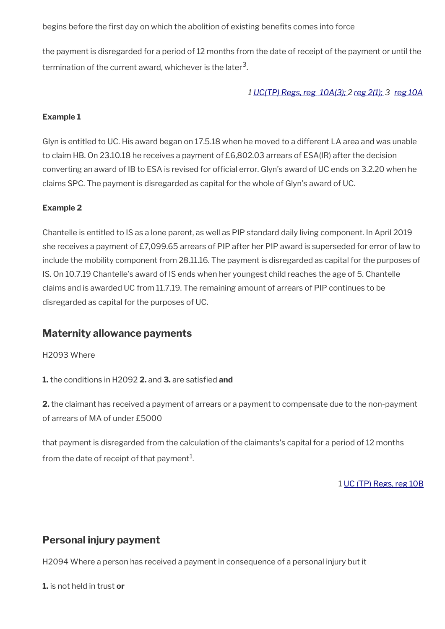begins before the first day on which the abolition of existing benefits comes into force

the payment is disregarded for a period of 12 months from the date of receipt of the payment or until the termination of the current award, whichever is the later $^{\mathsf{3}}$ .

### *1 [UC\(TP\) Regs, reg 10A\(3\);](http://www.legislation.gov.uk/uksi/2014/1230/regulation/10A) 2 [reg 2\(1\);](http://www.legislation.gov.uk/uksi/2014/1230/regulation/2) 3 [reg 10A](http://www.legislation.gov.uk/uksi/2014/1230/regulation/10A)*

### **Example 1**

Glyn is entitled to UC. His award began on 17.5.18 when he moved to a different LA area and was unable to claim HB. On 23.10.18 he receives a payment of £6,802.03 arrears of ESA(IR) after the decision converting an award of IB to ESA is revised for official error. Glyn's award of UC ends on 3.2.20 when he claims SPC. The payment is disregarded as capital for the whole of Glyn's award of UC.

### **Example 2**

Chantelle is entitled to IS as a lone parent, as well as PIP standard daily living component. In April 2019 she receives a payment of £7,099.65 arrears of PIP after her PIP award is superseded for error of law to include the mobility component from 28.11.16. The payment is disregarded as capital for the purposes of IS. On 10.7.19 Chantelle's award of IS ends when her youngest child reaches the age of 5. Chantelle claims and is awarded UC from 11.7.19. The remaining amount of arrears of PIP continues to be disregarded as capital for the purposes of UC.

# <span id="page-16-1"></span>**Maternity allowance payments**

#### H2093 Where

**1.** the conditions in H2092 **2.** and **3.** are satisfied **and**

**2.** the claimant has received a payment of arrears or a payment to compensate due to the non-payment of arrears of MA of under £5000

that payment is disregarded from the calculation of the claimants's capital for a period of 12 months from the date of receipt of that payment $^{\rm 1}$ .

1 [UC \(TP\) Regs, reg 10B](http://www.legislation.gov.uk/uksi/2014/1230/regulation/10B)

# <span id="page-16-0"></span>**Personal injury payment**

H2094 Where a person has received a payment in consequence of a personal injury but it

**1.** is not held in trust **or**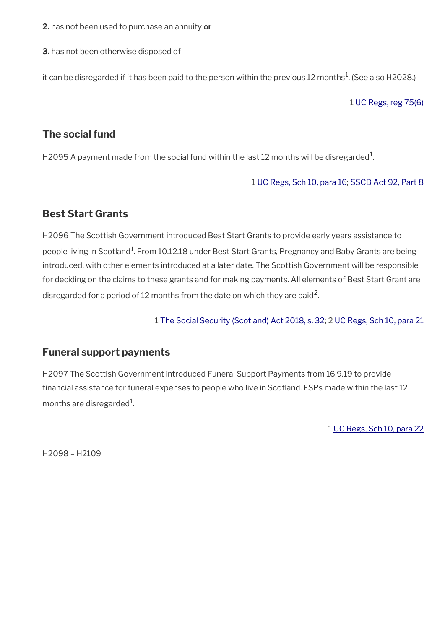**2.** has not been used to purchase an annuity **or**

**3.** has not been otherwise disposed of

it can be disregarded if it has been paid to the person within the previous 12 months $^{\rm 1}$ . (See also H2028.)

1 [UC Regs, reg 75\(6\)](http://www.legislation.gov.uk/uksi/2013/376/regulation/75)

# <span id="page-17-2"></span>**The social fund**

H2095 A payment made from the social fund within the last 12 months will be disregarded $^{\rm 1}$ .

1 [UC Regs, Sch 10, para 16](http://www.legislation.gov.uk/uksi/2013/376/schedule/10); [SSCB Act 92, Part 8](http://www.legislation.gov.uk/ukpga/1992/4/pdfs/ukpga_19920004_310320_en.pdf)

# <span id="page-17-1"></span>**Best Start Grants**

H2096 The Scottish Government introduced Best Start Grants to provide early years assistance to people living in Scotland<sup>1</sup>. From 10.12.18 under Best Start Grants, Pregnancy and Baby Grants are being introduced, with other elements introduced at a later date. The Scottish Government will be responsible for deciding on the claims to these grants and for making payments. All elements of Best Start Grant are disregarded for a period of 12 months from the date on which they are paid<sup>2</sup>.

1 [The Social Security \(Scotland\) Act 2018, s. 32;](http://www.legislation.gov.uk/asp/2018/9/section/32) 2 [UC Regs, Sch 10, para 21](http://www.legislation.gov.uk/uksi/2013/376/schedule/10)

# <span id="page-17-0"></span>**Funeral support payments**

H2097 The Scottish Government introduced Funeral Support Payments from 16.9.19 to provide financial assistance for funeral expenses to people who live in Scotland. FSPs made within the last 12 months are disregarded $^{\rm 1}$ .

1 [UC Regs, Sch 10, para 22](http://www.legislation.gov.uk/uksi/2013/376/schedule/10)

H2098 – H2109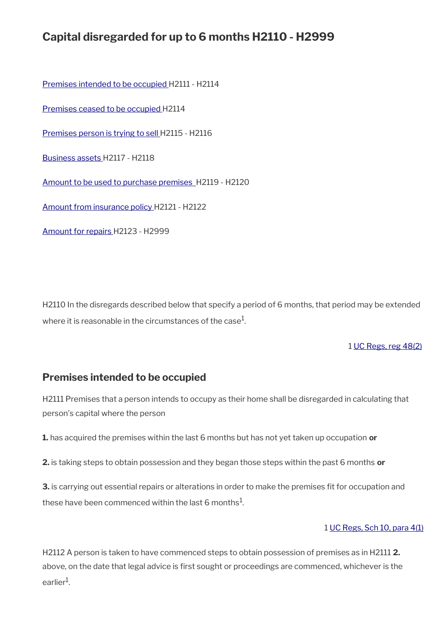# **Capital disregarded for up to 6 months H2110 - H2999**

[Premises intended to be occupied H](#page-18-0)2111 - H2114

[Premises ceased to be occupied](#page-19-1) H2114

[Premises person is trying to sell](#page-19-0) H2115 - H2116

[Business assets H](#page-20-1)2117 - H2118

 [Amount to be used to purchase premises](#page-20-0) H2119 - H2120

[Amount from insurance policy](#page-21-1) H2121 - H2122

[Amount for repairs H](#page-21-0)2123 - H2999

H2110 In the disregards described below that specify a period of 6 months, that period may be extended where it is reasonable in the circumstances of the case $^{\rm 1}$ .

1 [UC Regs, reg 48\(2\)](http://www.legislation.gov.uk/uksi/2013/376/regulation/48)

# <span id="page-18-0"></span>**Premises intended to be occupied**

H2111 Premises that a person intends to occupy as their home shall be disregarded in calculating that person's capital where the person

**1.** has acquired the premises within the last 6 months but has not yet taken up occupation **or**

**2.** is taking steps to obtain possession and they began those steps within the past 6 months **or**

**3.** is carrying out essential repairs or alterations in order to make the premises fit for occupation and these have been commenced within the last 6 months $^{\mathrm{1}}$ .

#### 1 [UC Regs, Sch 10, para 4\(1\)](http://www.legislation.gov.uk/uksi/2013/376/schedule/10)

H2112 A person is taken to have commenced steps to obtain possession of premises as in H2111 **2.** above, on the date that legal advice is first sought or proceedings are commenced, whichever is the earlier<sup>1</sup>.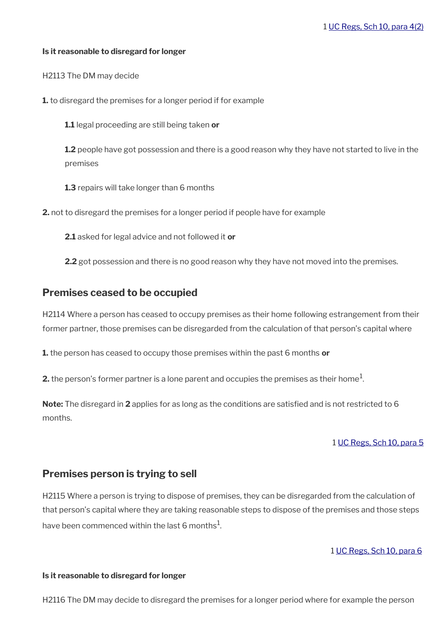#### **Is it reasonable to disregard for longer**

H2113 The DM may decide

**1.** to disregard the premises for a longer period if for example

**1.1** legal proceeding are still being taken **or** 

**1.2** people have got possession and there is a good reason why they have not started to live in the premises

**1.3** repairs will take longer than 6 months

**2.** not to disregard the premises for a longer period if people have for example

**2.1** asked for legal advice and not followed it **or** 

**2.2** got possession and there is no good reason why they have not moved into the premises.

## <span id="page-19-1"></span>**Premises ceased to be occupied**

H2114 Where a person has ceased to occupy premises as their home following estrangement from their former partner, those premises can be disregarded from the calculation of that person's capital where

**1.** the person has ceased to occupy those premises within the past 6 months **or**

**2.** the person's former partner is a lone parent and occupies the premises as their home $^1$ .

**Note:** The disregard in **2** applies for as long as the conditions are satisfied and is not restricted to 6 months.

#### 1 [UC Regs, Sch 10, para 5](http://www.legislation.gov.uk/uksi/2013/376/schedule/10)

### <span id="page-19-0"></span>**Premises person is trying to sell**

H2115 Where a person is trying to dispose of premises, they can be disregarded from the calculation of that person's capital where they are taking reasonable steps to dispose of the premises and those steps have been commenced within the last 6 months $^1\!$ 

1 [UC Regs, Sch 10, para 6](http://www.legislation.gov.uk/uksi/2013/376/schedule/10)

#### **Is it reasonable to disregard for longer**

H2116 The DM may decide to disregard the premises for a longer period where for example the person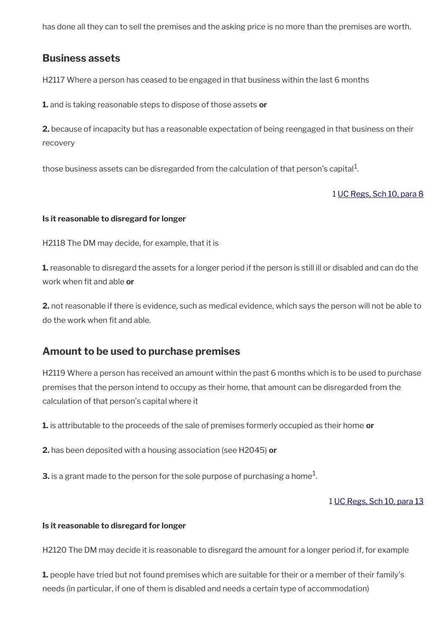has done all they can to sell the premises and the asking price is no more than the premises are worth.

# <span id="page-20-1"></span>**Business assets**

H2117 Where a person has ceased to be engaged in that business within the last 6 months

**1.** and is taking reasonable steps to dispose of those assets **or**

**2.** because of incapacity but has a reasonable expectation of being reengaged in that business on their recovery

those business assets can be disregarded from the calculation of that person's capital $^1$ .

### 1 [UC Regs, Sch 10, para 8](http://www.legislation.gov.uk/uksi/2013/376/schedule/10)

#### **Is it reasonable to disregard for longer**

H2118 The DM may decide, for example, that it is

**1.** reasonable to disregard the assets for a longer period if the person is still ill or disabled and can do the work when fit and able **or**

**2.** not reasonable if there is evidence, such as medical evidence, which says the person will not be able to do the work when fit and able.

# <span id="page-20-0"></span>**Amount to be used to purchase premises**

H2119 Where a person has received an amount within the past 6 months which is to be used to purchase premises that the person intend to occupy as their home, that amount can be disregarded from the calculation of that person's capital where it

**1.** is attributable to the proceeds of the sale of premises formerly occupied as their home **or**

**2.** has been deposited with a housing association (see H2045) **or**

**3.** is a grant made to the person for the sole purpose of purchasing a home $^1$ .

#### 1 [UC Regs, Sch 10, para 13](http://www.legislation.gov.uk/uksi/2013/376/schedule/10)

#### **Is it reasonable to disregard for longer**

H2120 The DM may decide it is reasonable to disregard the amount for a longer period if, for example

**1.** people have tried but not found premises which are suitable for their or a member of their family's needs (in particular, if one of them is disabled and needs a certain type of accommodation)